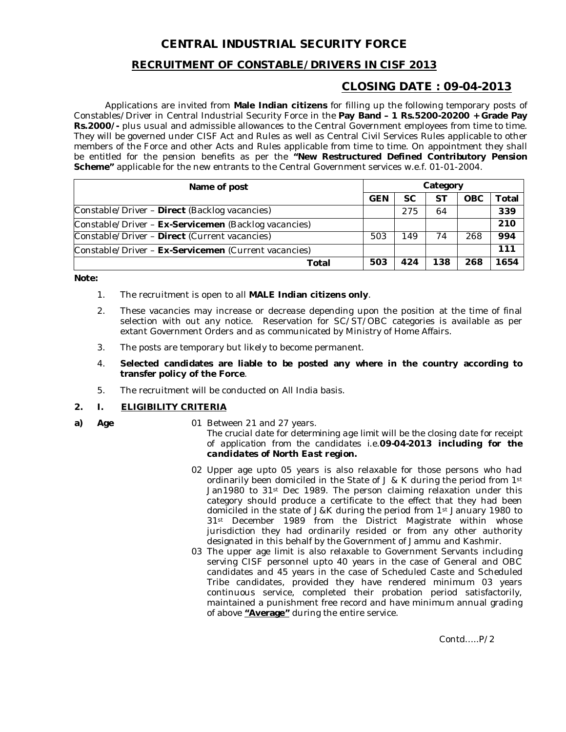# **CENTRAL INDUSTRIAL SECURITY FORCE**

# **RECRUITMENT OF CONSTABLE/DRIVERS IN CISF 2013**

# **CLOSING DATE : 09-04-2013**

Applications are invited from **Male Indian citizens** for filling up the following temporary posts of Constables/Driver in Central Industrial Security Force in the **Pay Band – 1 Rs.5200-20200 + Grade Pay Rs.2000/-** plus usual and admissible allowances to the Central Government employees from time to time. They will be governed under CISF Act and Rules as well as Central Civil Services Rules applicable to other members of the Force and other Acts and Rules applicable from time to time. On appointment they shall be entitled for the pension benefits as per the **"New Restructured Defined Contributory Pension Scheme"** applicable for the new entrants to the Central Government services w.e.f. 01-01-2004.

| Name of post                                         | Category   |           |     |            |       |
|------------------------------------------------------|------------|-----------|-----|------------|-------|
|                                                      | <b>GEN</b> | <b>SC</b> | SТ  | <b>OBC</b> | Total |
| Constable/Driver - Direct (Backlog vacancies)        |            | 275       | 64  |            | 339   |
| Constable/Driver - Ex-Servicemen (Backlog vacancies) |            |           |     |            | 210   |
| Constable/Driver - Direct (Current vacancies)        | 503        | 149       | 74  | 268        | 994   |
| Constable/Driver - Ex-Servicemen (Current vacancies) |            |           |     |            | 111   |
| Total                                                | 503        | 424       | 138 | 268        | 1654  |

**Note:**

- 1. The recruitment is open to all **MALE Indian citizens only**.
- 2. These vacancies may increase or decrease depending upon the position at the time of final selection with out any notice. Reservation for SC/ST/OBC categories is available as per extant Government Orders and as communicated by Ministry of Home Affairs.
- 3. The posts are temporary but likely to become permanent.
- 4. **Selected candidates are liable to be posted any where in the country according to transfer policy of the Force**.
- 5. The recruitment will be conducted on All India basis.

# **2. I. ELIGIBILITY CRITERIA**

- 
- **a) Age** 01 Between 21 and 27 years. *The crucial date for determining age limit will be the closing date for receipt of application from the candidates i.e.09-04-2013 including for the candidates of North East region.*
	- 02 Upper age upto 05 years is also relaxable for those persons who had ordinarily been domiciled in the State of  $J & K$  during the period from 1st Jan1980 to 31st Dec 1989. The person claiming relaxation under this category should produce a certificate to the effect that they had been domiciled in the state of J&K during the period from 1st January 1980 to 31<sup>st</sup> December 1989 from the District Magistrate within whose jurisdiction they had ordinarily resided or from any other authority designated in this behalf by the Government of Jammu and Kashmir.
	- 03 The upper age limit is also relaxable to Government Servants including serving CISF personnel upto 40 years in the case of General and OBC candidates and 45 years in the case of Scheduled Caste and Scheduled Tribe candidates, provided they have rendered minimum 03 years continuous service, completed their probation period satisfactorily, maintained a punishment free record and have minimum annual grading of above **"Average"** during the entire service.

Contd…..P/2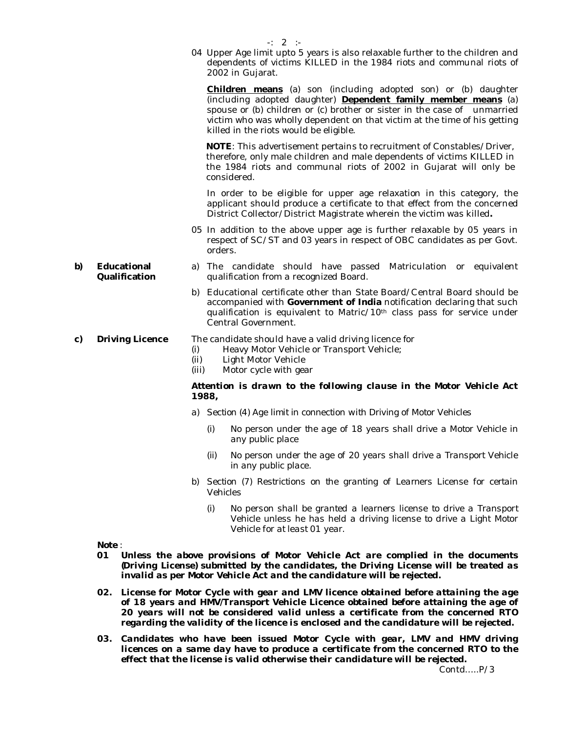04 Upper Age limit upto 5 years is also relaxable further to the children and dependents of victims KILLED in the 1984 riots and communal riots of 2002 in Gujarat.

**Children means** (a) son (including adopted son) or (b) daughter (including adopted daughter) **Dependent family member means** (a) spouse or (b) children or (c) brother or sister in the case of unmarried victim who was wholly dependent on that victim at the time of his getting killed in the riots would be eligible.

**NOTE**: This advertisement pertains to recruitment of Constables/Driver, therefore, only male children and male dependents of victims KILLED in the 1984 riots and communal riots of 2002 in Gujarat will only be considered.

In order to be eligible for upper age relaxation in this category, the applicant should produce a certificate to that effect from the concerned District Collector/District Magistrate wherein the victim was killed**.**

- 05 In addition to the above upper age is further relaxable by 05 years in respect of SC/ST and 03 years in respect of OBC candidates as per Govt. orders.
- a) The candidate should have passed Matriculation or equivalent qualification from a recognized Board.
	- b) Educational certificate other than State Board/Central Board should be accompanied with **Government of India** notification declaring that such qualification is equivalent to Matric/10th class pass for service under Central Government.

# **c) Driving Licence** The candidate should have a valid driving licence for<br>(i) Heavy Motor Vehicle or Transport Vehicle:

- Heavy Motor Vehicle or Transport Vehicle;
- (ii) Light Motor Vehicle
- (iii) Motor cycle with gear

# *Attention is drawn to the following clause in the Motor Vehicle Act 1988,*

- *a) Section (4) Age limit in connection with Driving of Motor Vehicles* 
	- *(i) No person under the age of 18 years shall drive a Motor Vehicle in any public place*
	- *(ii) No person under the age of 20 years shall drive a Transport Vehicle in any public place.*
- *b) Section (7) Restrictions on the granting of Learners License for certain Vehicles*
	- *(i) No person shall be granted a learners license to drive a Transport Vehicle unless he has held a driving license to drive a Light Motor Vehicle for at least 01 year.*

*Note :* 

- *01 Unless the above provisions of Motor Vehicle Act are complied in the documents (Driving License) submitted by the candidates, the Driving License will be treated as invalid as per Motor Vehicle Act and the candidature will be rejected.*
- *02. License for Motor Cycle with gear and LMV licence obtained before attaining the age of 18 years and HMV/Transport Vehicle Licence obtained before attaining the age of 20 years will not be considered valid unless a certificate from the concerned RTO regarding the validity of the licence is enclosed and the candidature will be rejected.*
- 03. Candidates who have been issued Motor Cycle with gear, LMV and HMV driving *licences on a same day have to produce a certificate from the concerned RTO to the effect that the license is valid otherwise their candidature will be rejected.*

Contd…..P/3

-: 2 :-

**b) Educational Qualification**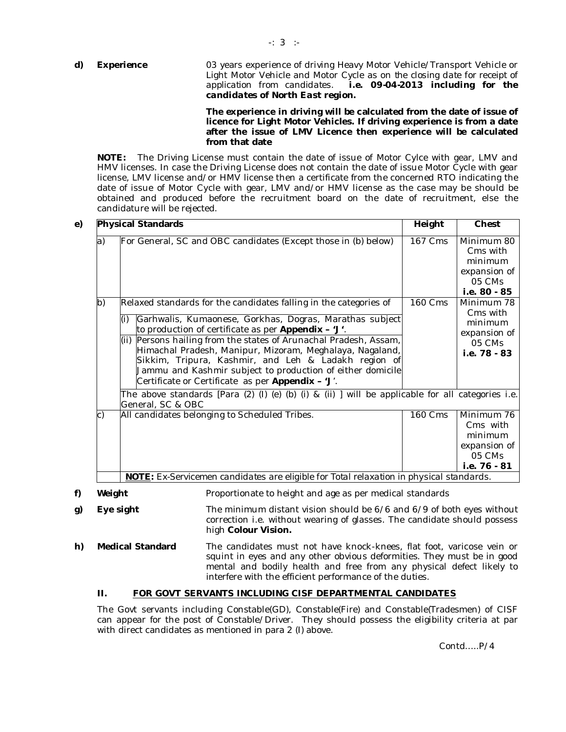# **d) Experience** 03 years experience of driving Heavy Motor Vehicle/Transport Vehicle or Light Motor Vehicle and Motor Cycle as on *the closing date for receipt of application from candidates*. *i.e. 09-04-2013 including for the candidates of North East region.*

# **The experience in driving will be calculated from the date of issue of licence for Light Motor Vehicles. If driving experience is from a date after the issue of LMV Licence then experience will be calculated from that date**

**NOTE:** The Driving License must contain the date of issue of Motor Cylce with gear, LMV and HMV licenses. In case the Driving License does not contain the date of issue Motor Cycle with gear license, LMV license and/or HMV license then a certificate from the concerned RTO indicating the date of issue of Motor Cycle with gear, LMV and/or HMV license as the case may be should be obtained and produced before the recruitment board on the date of recruitment, else the candidature will be rejected.

|    | <b>Physical Standards</b>                                                                                                                                                                                                                                                                                   | Height         | Chest                                                                       |  |  |
|----|-------------------------------------------------------------------------------------------------------------------------------------------------------------------------------------------------------------------------------------------------------------------------------------------------------------|----------------|-----------------------------------------------------------------------------|--|--|
| a) | For General, SC and OBC candidates (Except those in (b) below)                                                                                                                                                                                                                                              | 167 Cms        | Minimum 80<br>Cms with<br>minimum<br>expansion of<br>05 CMs<br>i.e. 80 - 85 |  |  |
| b) | Relaxed standards for the candidates falling in the categories of<br>Garhwalis, Kumaonese, Gorkhas, Dogras, Marathas subject<br>(i)                                                                                                                                                                         | <b>160 Cms</b> | Minimum 78<br>Cms with                                                      |  |  |
|    | to production of certificate as per <b>Appendix - 'J'</b> .                                                                                                                                                                                                                                                 |                | minimum<br>expansion of                                                     |  |  |
|    | Persons hailing from the states of Arunachal Pradesh, Assam,<br>(ii)<br>Himachal Pradesh, Manipur, Mizoram, Meghalaya, Nagaland,<br>Sikkim, Tripura, Kashmir, and Leh & Ladakh region of<br>Jammu and Kashmir subject to production of either domicile<br>Certificate or Certificate as per Appendix - 'J'. |                | 05 CMs<br>i.e. 78 - 83                                                      |  |  |
|    | The above standards [Para $(2)$ $(l)$ $(e)$ $(b)$ $(i)$ & $(ii)$ ] will be applicable for all categories i.e.<br>General, SC & OBC                                                                                                                                                                          |                |                                                                             |  |  |
| C) | All candidates belonging to Scheduled Tribes.                                                                                                                                                                                                                                                               | <b>160 Cms</b> | Minimum 76<br>Cms with<br>minimum<br>expansion of<br>05 CMs<br>i.e. 76 - 81 |  |  |
|    | <b>NOTE:</b> Ex-Servicemen candidates are eligible for Total relaxation in physical standards.                                                                                                                                                                                                              |                |                                                                             |  |  |

**f)** Weight **Proportionate to height and age as per medical standards** 

- **g) Eye sight** The minimum distant vision should be 6/6 and 6/9 of both eyes without correction i.e. without wearing of glasses. The candidate should possess high **Colour Vision.**
- **h) Medical Standard** The candidates must not have knock-knees, flat foot, varicose vein or squint in eyes and any other obvious deformities. They must be in good mental and bodily health and free from any physical defect likely to interfere with the efficient performance of the duties.

# **II. FOR GOVT SERVANTS INCLUDING CISF DEPARTMENTAL CANDIDATES**

The Govt servants including Constable(GD), Constable(Fire) and Constable(Tradesmen) of CISF can appear for the post of Constable/Driver. They should possess the eligibility criteria at par with direct candidates as mentioned in para 2 (I) above.

Contd…..P/4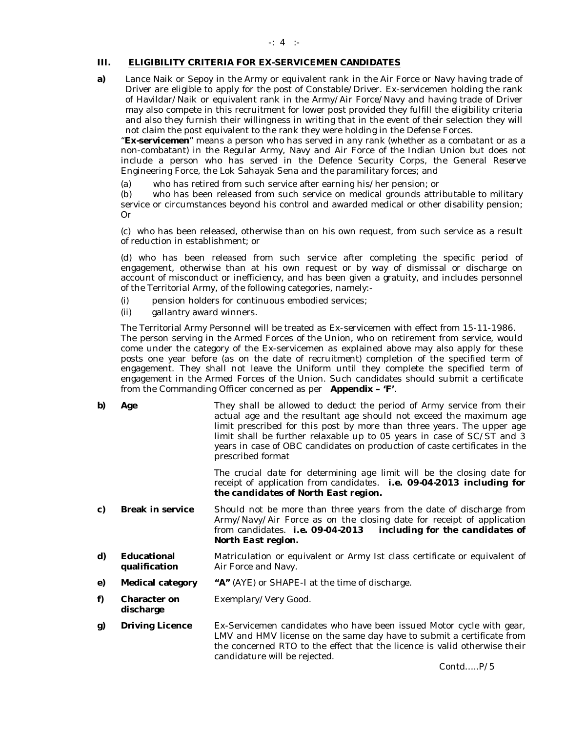# **III. ELIGIBILITY CRITERIA FOR EX-SERVICEMEN CANDIDATES**

**a)** Lance Naik or Sepoy in the Army or equivalent rank in the Air Force or Navy having trade of Driver are eligible to apply for the post of Constable/Driver. Ex-servicemen holding the rank of Havildar/Naik or equivalent rank in the Army/Air Force/Navy and having trade of Driver may also compete in this recruitment for lower post provided they fulfill the eligibility criteria and also they furnish their willingness in writing that in the event of their selection they will not claim the post equivalent to the rank they were holding in the Defense Forces.

*"Ex-servicemen"* means a person who has served in any rank (whether as a combatant or as a non-combatant) in the Regular Army, Navy and Air Force of the Indian Union but does not include a person who has served in the Defence Security Corps, the General Reserve Engineering Force, the Lok Sahayak Sena and the paramilitary forces; and

(a) who has retired from such service after earning his/her pension; or

(b) who has been released from such service on medical grounds attributable to military service or circumstances beyond his control and awarded medical or other disability pension; Or

(c) who has been released, otherwise than on his own request, from such service as a result of reduction in establishment; or

(d) who has been released from such service after completing the specific period of engagement, otherwise than at his own request or by way of dismissal or discharge on account of misconduct or inefficiency, and has been given a gratuity, and includes personnel of the Territorial Army, of the following categories, namely:-

- (i) pension holders for continuous embodied services;
- (ii) gallantry award winners.

The Territorial Army Personnel will be treated as Ex-servicemen with effect from 15-11-1986. The person serving in the Armed Forces of the Union, who on retirement from service, would come under the category of the Ex-servicemen as explained above may also apply for these posts one year before (as on the date of recruitment) completion of the specified term of engagement. They shall not leave the Uniform until they complete the specified term of engagement in the Armed Forces of the Union. Such candidates should submit a certificate from the Commanding Officer concerned as per **Appendix – 'F'**.

**b) Age** They shall be allowed to deduct the period of Army service from their actual age and the resultant age should not exceed the maximum age limit prescribed for this post by more than three years. The upper age limit shall be further relaxable up to 05 years in case of SC/ST and 3 years in case of OBC candidates on production of caste certificates in the prescribed format

> *The crucial date for determining age limit will be the closing date for receipt of application from candidates*. *i.e. 09-04-2013 including for the candidates of North East region.*

- **c) Break in service** Should not be more than three years from the date of discharge from Army/Navy/Air Force as on the closing date for receipt of application from candidates. *i.e. 09-04-2013 including for the candidates of North East region.*
- **d) Educational qualification** Matriculation or equivalent or Army Ist class certificate or equivalent of Air Force and Navy.
- **e) Medical category "A"** (AYE) or SHAPE-I at the time of discharge.
- **f) Character on discharge** Exemplary/Very Good.
- **g) Driving Licence** Ex-Servicemen candidates who have been issued Motor cycle with gear, LMV and HMV license on the same day have to submit a certificate from the concerned RTO to the effect that the licence is valid otherwise their candidature will be rejected.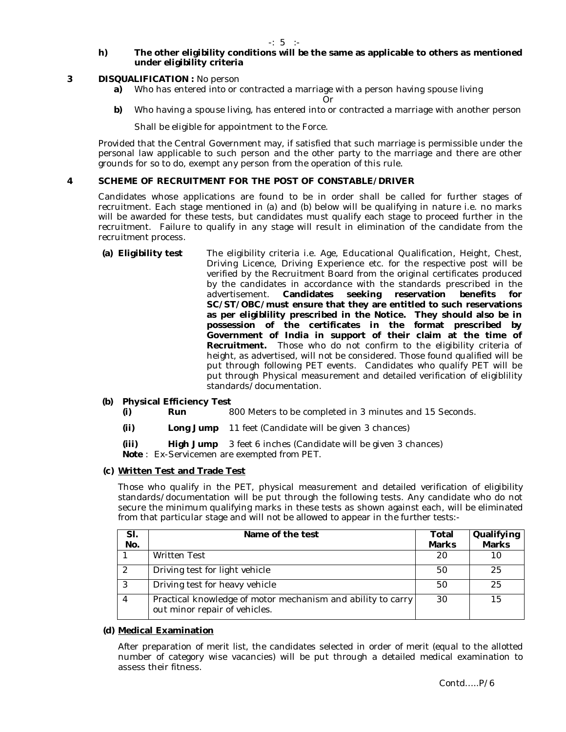-: 5 :-

# **h) The other eligibility conditions will be the same as applicable to others as mentioned under eligibility criteria**

# **3 DISQUALIFICATION :** No person

**a)** Who has entered into or contracted a marriage with a person having spouse living

Or

**b)** Who having a spouse living, has entered into or contracted a marriage with another person

Shall be eligible for appointment to the Force.

Provided that the Central Government may, if satisfied that such marriage is permissible under the personal law applicable to such person and the other party to the marriage and there are other grounds for so to do, exempt any person from the operation of this rule.

# **4 SCHEME OF RECRUITMENT FOR THE POST OF CONSTABLE/DRIVER**

Candidates whose applications are found to be in order shall be called for further stages of recruitment. Each stage mentioned in (a) and (b) below will be qualifying in nature i.e. no marks will be awarded for these tests, but candidates must qualify each stage to proceed further in the recruitment. Failure to qualify in any stage will result in elimination of the candidate from the recruitment process.

**(a) Eligibility test** The eligibility criteria i.e. Age, Educational Qualification, Height, Chest, Driving Licence, Driving Experience etc. for the respective post will be verified by the Recruitment Board from the original certificates produced by the candidates in accordance with the standards prescribed in the advertisement. Candidates seeking reservation benefits for advertisement. **Candidates seeking reservation benefits for SC/ST/OBC/must ensure that they are entitled to such reservations as per eligiblility prescribed in the Notice. They should also be in possession of the certificates in the format prescribed by Government of India in support of their claim at the time of Recruitment.** Those who do not confirm to the eligibility criteria of height, as advertised, will not be considered. Those found qualified will be put through following PET events. Candidates who qualify PET will be put through Physical measurement and detailed verification of eligiblility standards/documentation.

# **Physical Efficiency Test (b)**

- **(i) Run** 800 Meters to be completed in 3 minutes and 15 Seconds.
- **(ii) Long Jump** 11 feet (Candidate will be given 3 chances)

**(iii) High Jump** 3 feet 6 inches (Candidate will be given 3 chances) *Note* : Ex-Servicemen are exempted from PET.

# **(c) Written Test and Trade Test**

Those who qualify in the PET, physical measurement and detailed verification of eligibility standards/documentation will be put through the following tests. Any candidate who do not secure the minimum qualifying marks in these tests as shown against each, will be eliminated from that particular stage and will not be allowed to appear in the further tests:-

| SI.<br>No.    | Name of the test                                                                             | Total<br><b>Marks</b> | Qualifying<br><b>Marks</b> |
|---------------|----------------------------------------------------------------------------------------------|-----------------------|----------------------------|
|               | <b>Written Test</b>                                                                          | 20                    |                            |
| $\mathcal{D}$ | Driving test for light vehicle                                                               | 50                    | 25                         |
| $\mathbf{r}$  | Driving test for heavy vehicle                                                               | 50                    | 25                         |
|               | Practical knowledge of motor mechanism and ability to carry<br>out minor repair of vehicles. | 30                    | 15                         |

# **(d) Medical Examination**

After preparation of merit list, the candidates selected in order of merit (equal to the allotted number of category wise vacancies) will be put through a detailed medical examination to assess their fitness.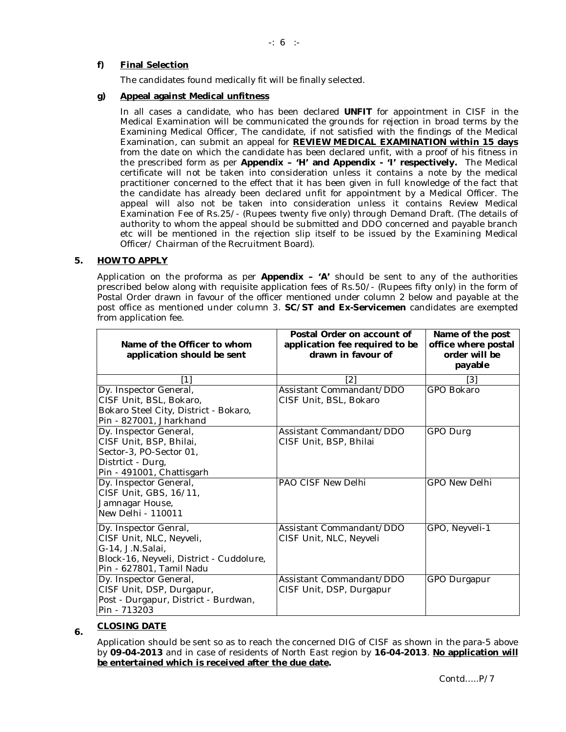-: 6 :-

# **f) Final Selection**

The candidates found medically fit will be finally selected.

# **g) Appeal against Medical unfitness**

In all cases a candidate, who has been declared **UNFIT** for appointment in CISF in the Medical Examination will be communicated the grounds for rejection in broad terms by the Examining Medical Officer, The candidate, if not satisfied with the findings of the Medical Examination, can submit an appeal for **REVIEW MEDICAL EXAMINATION within 15 days** from the date on which the candidate has been declared unfit, with a proof of his fitness in the prescribed form as per **Appendix – 'H' and Appendix - 'I' respectively.** The Medical certificate will not be taken into consideration unless it contains a note by the medical practitioner concerned to the effect that it has been given in full knowledge of the fact that the candidate has already been declared unfit for appointment by a Medical Officer. The appeal will also not be taken into consideration unless it contains Review Medical Examination Fee of Rs.25/- (Rupees twenty five only) through Demand Draft. (The details of authority to whom the appeal should be submitted and DDO concerned and payable branch etc will be mentioned in the rejection slip itself to be issued by the Examining Medical Officer/ Chairman of the Recruitment Board).

# **5. HOW TO APPLY**

Application on the proforma as per **Appendix – 'A'** should be sent to any of the authorities prescribed below along with requisite application fees of Rs.50/- (Rupees fifty only) in the form of Postal Order drawn in favour of the officer mentioned under column 2 below and payable at the post office as mentioned under column 3. **SC/ST and Ex-Servicemen** candidates are exempted from application fee.

| Name of the Officer to whom                                                                                                                   | Postal Order on account of<br>application fee required to be | Name of the post<br>office where postal |
|-----------------------------------------------------------------------------------------------------------------------------------------------|--------------------------------------------------------------|-----------------------------------------|
| application should be sent                                                                                                                    | drawn in favour of                                           | order will be                           |
|                                                                                                                                               |                                                              | payable                                 |
|                                                                                                                                               | [2]                                                          | [3]                                     |
| Dy. Inspector General,<br>CISF Unit, BSL, Bokaro,<br>Bokaro Steel City, District - Bokaro,<br>Pin - 827001, Jharkhand                         | Assistant Commandant/DDO<br>CISF Unit, BSL, Bokaro           | GPO Bokaro                              |
| Dy. Inspector General,<br>CISF Unit, BSP, Bhilai,<br>Sector-3, PO-Sector 01,<br>Distrtict - Durg,<br>Pin - 491001, Chattisgarh                | Assistant Commandant/DDO<br>CISF Unit, BSP, Bhilai           | GPO Durg                                |
| Dy. Inspector General,<br>CISF Unit, GBS, 16/11,<br>Jamnagar House,<br>New Delhi - 110011                                                     | PAO CISF New Delhi                                           | <b>GPO New Delhi</b>                    |
| Dy. Inspector Genral,<br>CISF Unit, NLC, Neyveli,<br>G-14, J.N.Salai,<br>Block-16, Neyveli, District - Cuddolure,<br>Pin - 627801, Tamil Nadu | Assistant Commandant/DDO<br>CISF Unit, NLC, Neyveli          | GPO, Neyveli-1                          |
| Dy. Inspector General,<br>CISF Unit, DSP, Durgapur,<br>Post - Durgapur, District - Burdwan,<br>Pin - 713203                                   | Assistant Commandant/DDO<br>CISF Unit, DSP, Durgapur         | GPO Durgapur                            |

# **6. CLOSING DATE**

Application should be sent so as to reach the concerned DIG of CISF as shown in the para-5 above by **09-04-2013** and in case of residents of North East region by **16-04-2013**. **No application will be entertained which is received after the due date.**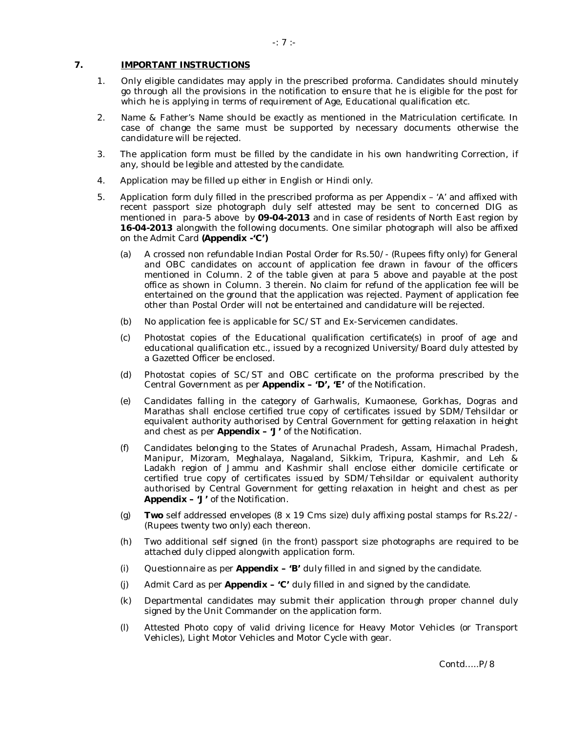# **7. IMPORTANT INSTRUCTIONS**

- 1. Only eligible candidates may apply in the prescribed proforma. Candidates should minutely go through all the provisions in the notification to ensure that he is eligible for the post for which he is applying in terms of requirement of Age, Educational qualification etc.
- 2. Name & Father's Name should be exactly as mentioned in the Matriculation certificate. In case of change the same must be supported by necessary documents otherwise the candidature will be rejected.
- 3. The application form must be filled by the candidate in his own handwriting Correction, if any, should be legible and attested by the candidate.
- 4. Application may be filled up either in English or Hindi only.
- 5. Application form duly filled in the prescribed proforma as per Appendix 'A' and affixed with recent passport size photograph duly self attested may be sent to concerned DIG as mentioned in para-5 above by **09-04-2013** and in case of residents of North East region by **16-04-2013** alongwith the following documents. One similar photograph will also be affixed on the Admit Card **(Appendix -'C')**
	- (a) A crossed non refundable Indian Postal Order for Rs.50/- (Rupees fifty only) for General and OBC candidates on account of application fee drawn in favour of the officers mentioned in Column. 2 of the table given at para 5 above and payable at the post office as shown in Column. 3 therein. No claim for refund of the application fee will be entertained on the ground that the application was rejected. Payment of application fee other than Postal Order will not be entertained and candidature will be rejected.
	- (b) No application fee is applicable for SC/ST and Ex-Servicemen candidates.
	- (c) Photostat copies of the Educational qualification certificate(s) in proof of age and educational qualification etc., issued by a recognized University/Board duly attested by a Gazetted Officer be enclosed.
	- (d) Photostat copies of SC/ST and OBC certificate on the proforma prescribed by the Central Government as per **Appendix – 'D', 'E'** of the Notification.
	- (e) Candidates falling in the category of Garhwalis, Kumaonese, Gorkhas, Dogras and Marathas shall enclose certified true copy of certificates issued by SDM/Tehsildar or equivalent authority authorised by Central Government for getting relaxation in height and chest as per **Appendix – 'J'** of the Notification.
	- (f) Candidates belonging to the States of Arunachal Pradesh, Assam, Himachal Pradesh, Manipur, Mizoram, Meghalaya, Nagaland, Sikkim, Tripura, Kashmir, and Leh & Ladakh region of Jammu and Kashmir shall enclose either domicile certificate or certified true copy of certificates issued by SDM/Tehsildar or equivalent authority authorised by Central Government for getting relaxation in height and chest as per **Appendix – 'J'** of the Notification.
	- (g) **Two** self addressed envelopes (8 x 19 Cms size) duly affixing postal stamps for Rs.22/- (Rupees twenty two only) each thereon.
	- (h) Two additional self signed (in the front) passport size photographs are required to be attached duly clipped alongwith application form.
	- (i) Questionnaire as per **Appendix 'B'** duly filled in and signed by the candidate.
	- (j) Admit Card as per **Appendix 'C'** duly filled in and signed by the candidate.
	- (k) Departmental candidates may submit their application through proper channel duly signed by the Unit Commander on the application form.
	- (l) Attested Photo copy of valid driving licence for Heavy Motor Vehicles (or Transport Vehicles), Light Motor Vehicles and Motor Cycle with gear.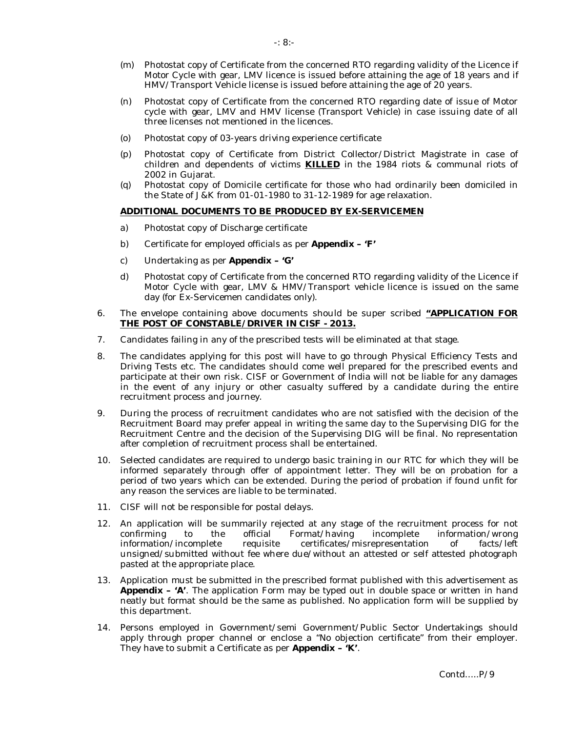- (m) Photostat copy of Certificate from the concerned RTO regarding validity of the Licence if Motor Cycle with gear, LMV licence is issued before attaining the age of 18 years and if HMV/Transport Vehicle license is issued before attaining the age of 20 years.
- (n) Photostat copy of Certificate from the concerned RTO regarding date of issue of Motor cycle with gear, LMV and HMV license (Transport Vehicle) in case issuing date of all three licenses not mentioned in the licences.
- (o) Photostat copy of 03-years driving experience certificate
- (p) Photostat copy of Certificate from District Collector/District Magistrate in case of children and dependents of victims **KILLED** in the 1984 riots & communal riots of 2002 in Gujarat.
- (q) Photostat copy of Domicile certificate for those who had ordinarily been domiciled in the State of J&K from 01-01-1980 to 31-12-1989 for age relaxation.

# **ADDITIONAL DOCUMENTS TO BE PRODUCED BY EX-SERVICEMEN**

- a) Photostat copy of Discharge certificate
- b) Certificate for employed officials as per **Appendix 'F'**
- c) Undertaking as per **Appendix 'G'**
- d) Photostat copy of Certificate from the concerned RTO regarding validity of the Licence if Motor Cycle with gear, LMV & HMV/Transport vehicle licence is issued on the same day (for Ex-Servicemen candidates only).
- 6. The envelope containing above documents should be super scribed **"APPLICATION FOR THE POST OF CONSTABLE/DRIVER IN CISF - 2013.**
- 7. Candidates failing in any of the prescribed tests will be eliminated at that stage.
- 8. The candidates applying for this post will have to go through Physical Efficiency Tests and Driving Tests etc. The candidates should come well prepared for the prescribed events and participate at their own risk. CISF or Government of India will not be liable for any damages in the event of any injury or other casualty suffered by a candidate during the entire recruitment process and journey.
- 9. During the process of recruitment candidates who are not satisfied with the decision of the Recruitment Board may prefer appeal in writing the same day to the Supervising DIG for the Recruitment Centre and the decision of the Supervising DIG will be final. No representation after completion of recruitment process shall be entertained.
- 10. Selected candidates are required to undergo basic training in our RTC for which they will be informed separately through offer of appointment letter. They will be on probation for a period of two years which can be extended. During the period of probation if found unfit for any reason the services are liable to be terminated.
- 11. CISF will not be responsible for postal delays.
- 12. An application will be summarily rejected at any stage of the recruitment process for not confirming to the official Format/having incomplete information/wrong information/incomplete requisite certificates/misrepresentation of facts/left unsigned/submitted without fee where due/without an attested or self attested photograph pasted at the appropriate place.
- 13. Application must be submitted in the prescribed format published with this advertisement as **Appendix – 'A'**. The application Form may be typed out in double space or written in hand neatly but format should be the same as published. No application form will be supplied by this department.
- 14. Persons employed in Government/semi Government/Public Sector Undertakings should apply through proper channel or enclose a "No objection certificate" from their employer. They have to submit a Certificate as per **Appendix – 'K'**.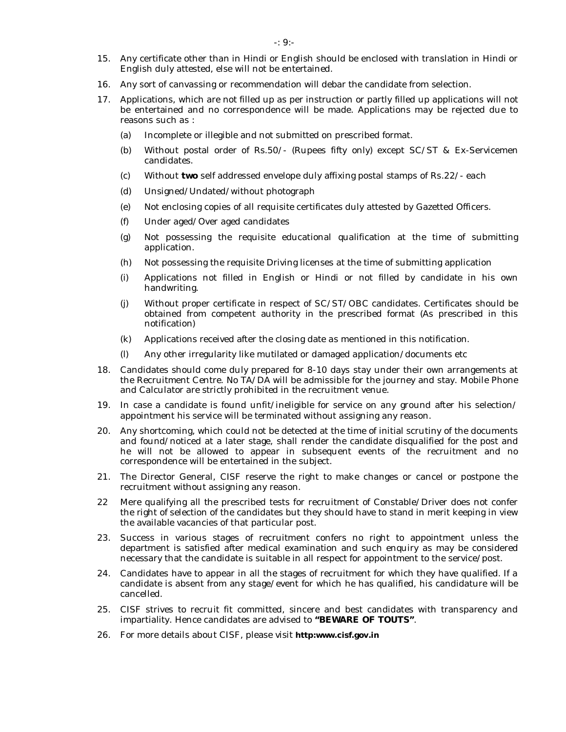- 15. Any certificate other than in Hindi or English should be enclosed with translation in Hindi or English duly attested, else will not be entertained.
- 16. Any sort of canvassing or recommendation will debar the candidate from selection.
- 17. Applications, which are not filled up as per instruction or partly filled up applications will not be entertained and no correspondence will be made. Applications may be rejected due to reasons such as :
	- (a) Incomplete or illegible and not submitted on prescribed format.
	- (b) Without postal order of Rs.50/- (Rupees fifty only) except SC/ST & Ex-Servicemen candidates.
	- (c) Without **two** self addressed envelope duly affixing postal stamps of Rs.22/- each
	- (d) Unsigned/Undated/without photograph
	- (e) Not enclosing copies of all requisite certificates duly attested by Gazetted Officers.
	- (f) Under aged/Over aged candidates
	- (g) Not possessing the requisite educational qualification at the time of submitting application.
	- (h) Not possessing the requisite Driving licenses at the time of submitting application
	- (i) Applications not filled in English or Hindi or not filled by candidate in his own handwriting.
	- (j) Without proper certificate in respect of SC/ST/OBC candidates. Certificates should be obtained from competent authority in the prescribed format (As prescribed in this notification)
	- (k) Applications received after the closing date as mentioned in this notification.
	- (l) Any other irregularity like mutilated or damaged application/documents etc
- 18. Candidates should come duly prepared for 8-10 days stay under their own arrangements at the Recruitment Centre. No TA/DA will be admissible for the journey and stay. Mobile Phone and Calculator are strictly prohibited in the recruitment venue.
- 19. In case a candidate is found unfit/ineligible for service on any ground after his selection/ appointment his service will be terminated without assigning any reason.
- 20. Any shortcoming, which could not be detected at the time of initial scrutiny of the documents and found/noticed at a later stage, shall render the candidate disqualified for the post and he will not be allowed to appear in subsequent events of the recruitment and no correspondence will be entertained in the subject.
- 21. The Director General, CISF reserve the right to make changes or cancel or postpone the recruitment without assigning any reason.
- 22 Mere qualifying all the prescribed tests for recruitment of Constable/Driver does not confer the right of selection of the candidates but they should have to stand in merit keeping in view the available vacancies of that particular post.
- 23. Success in various stages of recruitment confers no right to appointment unless the department is satisfied after medical examination and such enquiry as may be considered necessary that the candidate is suitable in all respect for appointment to the service/post.
- 24. Candidates have to appear in all the stages of recruitment for which they have qualified. If a candidate is absent from any stage/event for which he has qualified, his candidature will be cancelled.
- 25. CISF strives to recruit fit committed, sincere and best candidates with transparency and impartiality. Hence candidates are advised to **"BEWARE OF TOUTS"**.
- 26. For more details about CISF, please visit **http:www.cisf.gov.in**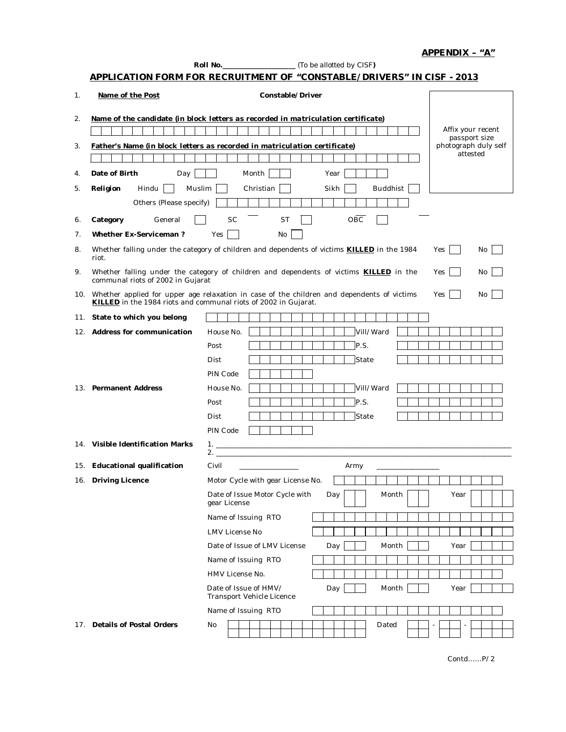|     |                                                                 | APPLICATION FORM FOR RECRUITMENT OF "CONSTABLE/DRIVERS" IN CISF - 2013                                                  |
|-----|-----------------------------------------------------------------|-------------------------------------------------------------------------------------------------------------------------|
| 1.  | Name of the Post                                                | Constable/Driver                                                                                                        |
| 2.  |                                                                 | Name of the candidate (in block letters as recorded in matriculation certificate)<br>Affix your recent<br>passport size |
| 3.  |                                                                 | photograph duly self<br>Father's Name (in block letters as recorded in matriculation certificate)<br>attested           |
| 4.  | Date of Birth<br>Day                                            | Month<br>Year                                                                                                           |
| 5.  | Muslim<br>Religion<br>Hindu                                     | Christian<br><b>Buddhist</b><br>Sikh                                                                                    |
|     | Others (Please specify)                                         |                                                                                                                         |
| 6.  | Category<br>General                                             | OBC<br><b>SC</b><br><b>ST</b>                                                                                           |
| 7.  | Whether Ex-Serviceman?                                          | Yes<br>No                                                                                                               |
| 8.  | riot.                                                           | Whether falling under the category of children and dependents of victims <b>KILLED</b> in the 1984<br>Yes<br>No l       |
| 9.  | communal riots of 2002 in Gujarat                               | Whether falling under the category of children and dependents of victims KILLED in the<br>Yes<br>No                     |
|     | KILLED in the 1984 riots and communal riots of 2002 in Gujarat. | 10. Whether applied for upper age relaxation in case of the children and dependents of victims<br>Yes<br>No             |
|     | 11. State to which you belong                                   |                                                                                                                         |
|     | 12. Address for communication                                   | Vill/Ward<br>House No.                                                                                                  |
|     |                                                                 | P.S.<br>Post                                                                                                            |
|     |                                                                 | State<br>Dist                                                                                                           |
|     |                                                                 | PIN Code                                                                                                                |
|     | 13. Permanent Address                                           | Vill/Ward<br>House No.                                                                                                  |
|     |                                                                 | P.S.<br>Post<br>State<br>Dist                                                                                           |
|     |                                                                 | PIN Code                                                                                                                |
|     | 14. Visible Identification Marks                                |                                                                                                                         |
|     |                                                                 |                                                                                                                         |
|     | 15. Educational qualification                                   | Civil<br>Army<br>the control of the control of the control of                                                           |
|     | 16. Driving Licence                                             | Motor Cycle with gear License No.                                                                                       |
|     |                                                                 | Date of Issue Motor Cycle with<br>Month<br>Day<br>Year<br>gear License                                                  |
|     |                                                                 | Name of Issuing RTO                                                                                                     |
|     |                                                                 | LMV License No                                                                                                          |
|     |                                                                 | Date of Issue of LMV License<br>Month<br>Year<br>Day                                                                    |
|     |                                                                 | Name of Issuing RTO                                                                                                     |
|     |                                                                 | HMV License No.                                                                                                         |
|     |                                                                 | Date of Issue of HMV/<br>Day<br>Month<br>Year<br>Transport Vehicle Licence                                              |
|     |                                                                 | Name of Issuing RTO                                                                                                     |
| 17. | Details of Postal Orders                                        | No<br>Dated                                                                                                             |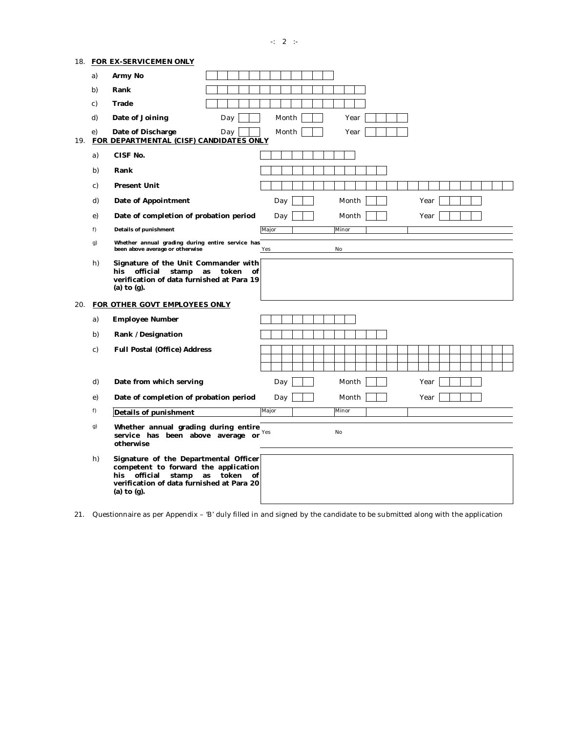-:  $2 :$ 

|     |    | 18. FOR EX-SERVICEMEN ONLY                                                                                                                                                                 |                      |
|-----|----|--------------------------------------------------------------------------------------------------------------------------------------------------------------------------------------------|----------------------|
|     | a) | Army No                                                                                                                                                                                    |                      |
|     | b) | Rank                                                                                                                                                                                       |                      |
|     | C) | Trade                                                                                                                                                                                      |                      |
|     | d) | Date of Joining<br>Day                                                                                                                                                                     | Month<br>Year        |
| 19. | e) | Date of Discharge<br>Day<br>FOR DEPARTMENTAL (CISF) CANDIDATES ONLY                                                                                                                        | Month<br>Year        |
|     | a) | CISF No.                                                                                                                                                                                   |                      |
|     | b) | Rank                                                                                                                                                                                       |                      |
|     | C) | <b>Present Unit</b>                                                                                                                                                                        |                      |
|     | d) | Date of Appointment                                                                                                                                                                        | Month<br>Day<br>Year |
|     | e) | Date of completion of probation period                                                                                                                                                     | Month<br>Year<br>Day |
|     | f) | Details of punishment                                                                                                                                                                      | Major<br>Minor       |
|     | g) | Whether annual grading during entire service has<br>been above average or otherwise                                                                                                        | No<br>Yes            |
|     | h) | Signature of the Unit Commander with<br>official<br>stamp<br>token<br>his<br>as<br>οf<br>verification of data furnished at Para 19<br>(a) to $(q)$ .                                       |                      |
|     |    | 20. FOR OTHER GOVT EMPLOYEES ONLY                                                                                                                                                          |                      |
|     | a) | <b>Employee Number</b>                                                                                                                                                                     |                      |
|     | b) | Rank /Designation                                                                                                                                                                          |                      |
|     | C) | Full Postal (Office) Address                                                                                                                                                               |                      |
|     | d) | Date from which serving                                                                                                                                                                    | Day<br>Month<br>Year |
|     | e) | Date of completion of probation period                                                                                                                                                     | Month<br>Day<br>Year |
|     | f) | Details of punishment                                                                                                                                                                      | Minor<br>Major       |
|     | g) | Whether annual grading during entire<br>service has been above average or<br>otherwise                                                                                                     | No<br>Yes            |
|     | h) | Signature of the Departmental Officer<br>competent to forward the application<br>token<br>official<br>stamp<br>as<br>his<br>οf<br>verification of data furnished at Para 20<br>(a) to (g). |                      |

21. Questionnaire as per Appendix – 'B' duly filled in and signed by the candidate to be submitted along with the application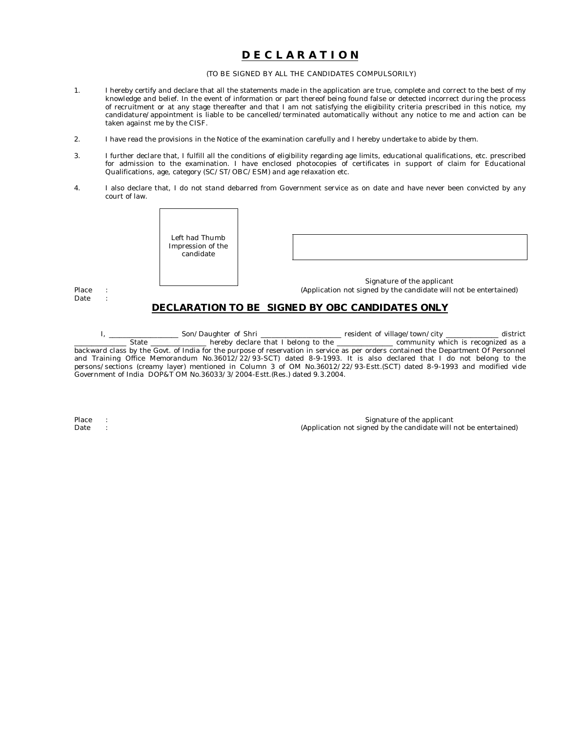# **D E C L A R A T I O N**

#### (TO BE SIGNED BY ALL THE CANDIDATES COMPULSORILY)

- 1. I hereby certify and declare that all the statements made in the application are true, complete and correct to the best of my knowledge and belief. In the event of information or part thereof being found false or detected incorrect during the process of recruitment or at any stage thereafter and that I am not satisfying the eligibility criteria prescribed in this notice, my candidature/appointment is liable to be cancelled/terminated automatically without any notice to me and action can be taken against me by the CISF.
- 2. I have read the provisions in the Notice of the examination carefully and I hereby undertake to abide by them.
- 3. I further declare that, I fulfill all the conditions of eligibility regarding age limits, educational qualifications, etc. prescribed for admission to the examination. I have enclosed photocopies of certificates in support of claim for Educational Qualifications, age, category (SC/ST/OBC/ESM) and age relaxation etc.
- 4. I also declare that, I do not stand debarred from Government service as on date and have never been convicted by any court of law.

| Left had Thumb<br>Impression of the<br>candidate |                                                                                                                                                    |
|--------------------------------------------------|----------------------------------------------------------------------------------------------------------------------------------------------------|
|                                                  | Signature of the applicant<br>(Application not signed by the candidate will not be entertained)<br>DECLARATION TO BE SIGNED BY OBC CANDIDATES ONLY |

I, \_\_\_\_\_\_\_\_\_\_\_\_\_\_\_\_\_\_\_\_\_ Son/Daughter of Shri \_\_\_\_\_\_\_\_\_\_\_\_\_\_\_\_\_\_\_\_\_\_\_\_\_\_\_\_\_\_\_\_\_\_ resident of village/town/city \_\_\_\_\_\_\_\_\_\_\_\_\_\_\_\_\_ district State hereby declare that I belong to the \_\_\_\_\_\_\_\_\_\_\_\_\_\_\_\_\_\_ community which is reco Letter State declare that I belong to the Letter Leonomian community which is recognized as a backward class by the Govt. of India for the purpose of reservation in service as per orders contained the Department Of Personnel and Training Office Memorandum No.36012/22/93-SCT) dated 8-9-1993. It is also declared that I do not belong to the persons/sections (creamy layer) mentioned in Column 3 of OM No.36012/22/93-Estt.(SCT) dated 8-9-1993 and modified vide Government of India DOP&T OM No.36033/3/2004-Estt.(Res.) dated 9.3.2004.

Place Date

: :

Place :<br>
Place : Signature of the applicant<br>
CApplication not signed by the candidate will under Date : (Application not signed by the candidate will not be entertained)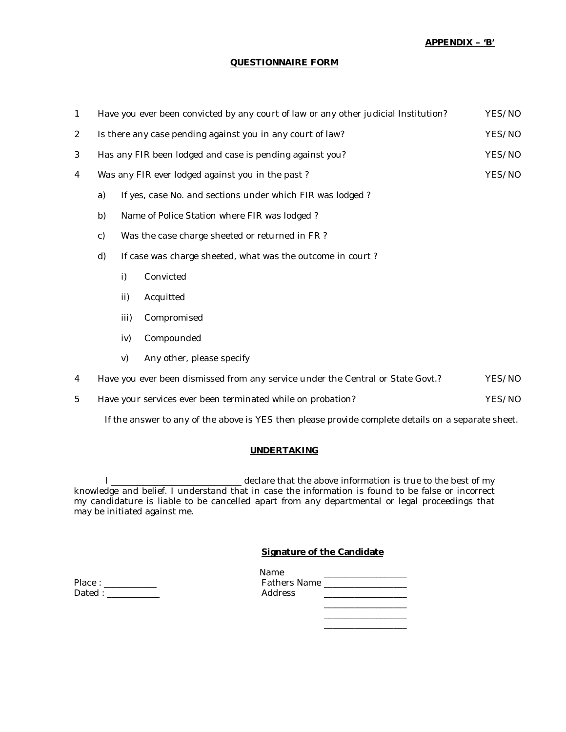**APPENDIX – 'B'** 

# **QUESTIONNAIRE FORM**

| $\mathbf{1}$   |                                                                  |      | Have you ever been convicted by any court of law or any other judicial Institution? | YES/NO |  |  |
|----------------|------------------------------------------------------------------|------|-------------------------------------------------------------------------------------|--------|--|--|
| $\overline{2}$ |                                                                  |      | Is there any case pending against you in any court of law?                          | YES/NO |  |  |
| 3              |                                                                  |      | Has any FIR been lodged and case is pending against you?                            | YES/NO |  |  |
| 4              |                                                                  |      | Was any FIR ever lodged against you in the past?                                    | YES/NO |  |  |
|                | a)                                                               |      | If yes, case No. and sections under which FIR was lodged?                           |        |  |  |
|                | b)                                                               |      | Name of Police Station where FIR was lodged?                                        |        |  |  |
|                | C)<br>Was the case charge sheeted or returned in FR?             |      |                                                                                     |        |  |  |
|                | d)<br>If case was charge sheeted, what was the outcome in court? |      |                                                                                     |        |  |  |
|                |                                                                  | i)   | Convicted                                                                           |        |  |  |
|                |                                                                  | ii)  | Acquitted                                                                           |        |  |  |
|                |                                                                  | iii) | Compromised                                                                         |        |  |  |
|                |                                                                  | iv)  | Compounded                                                                          |        |  |  |
|                |                                                                  | V)   | Any other, please specify                                                           |        |  |  |
| 4              |                                                                  |      | Have you ever been dismissed from any service under the Central or State Govt.?     | YES/NO |  |  |

5 Have your services ever been terminated while on probation? The Market State State States and States and States States States States States States States States States States States States States States States States Sta

If the answer to any of the above is YES then please provide complete details on a separate sheet.

# **UNDERTAKING**

I \_\_\_\_\_\_\_\_\_\_\_\_\_\_\_\_\_\_\_\_\_\_\_\_\_\_\_\_\_\_ declare that the above information is true to the best of my knowledge and belief. I understand that in case the information is found to be false or incorrect my candidature is liable to be cancelled apart from any departmental or legal proceedings that may be initiated against me.

# **Signature of the Candidate**

| Place: |  |
|--------|--|
| Dated: |  |

| Place:    | Name<br>Fathers Name |  |
|-----------|----------------------|--|
| Dated: __ | Address              |  |
|           |                      |  |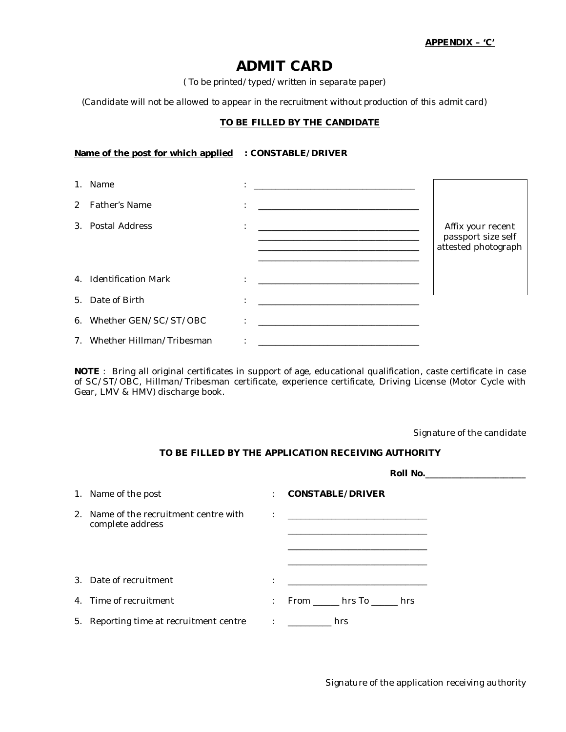# **ADMIT CARD**

*( To be printed/typed/written in separate paper)*

*(Candidate will not be allowed to appear in the recruitment without production of this admit card)*

# **TO BE FILLED BY THE CANDIDATE**

# **Name of the post for which applied : CONSTABLE/DRIVER**

|               | 1. Name                      |                      | <u> 1999 - Johann Harry Harry Harry Harry Harry Harry Harry Harry Harry Harry Harry Harry Harry Harry Harry Harry</u>  |                                         |
|---------------|------------------------------|----------------------|------------------------------------------------------------------------------------------------------------------------|-----------------------------------------|
| $\mathcal{P}$ | <b>Father's Name</b>         | ÷                    |                                                                                                                        |                                         |
|               | 3. Postal Address            | $\bullet$<br>$\cdot$ | <u> 1989 - Johann John Stone, market fan it ferskearre fan it ferskearre fan it ferskearre fan it ferskearre fan i</u> | Affix your recent<br>passport size self |
|               |                              |                      |                                                                                                                        | attested photograph                     |
|               | 4. Identification Mark       | $\bullet$            | <u> 1999 - Johann Harry Harry Harry Harry Harry Harry Harry Harry Harry Harry Harry Harry Harry Harry Harry Harry</u>  |                                         |
|               | 5. Date of Birth             | $\bullet$            |                                                                                                                        |                                         |
|               | 6. Whether GEN/SC/ST/OBC     |                      |                                                                                                                        |                                         |
|               | 7. Whether Hillman/Tribesman |                      |                                                                                                                        |                                         |

**NOTE** : Bring all original certificates in support of age, educational qualification, caste certificate in case of SC/ST/OBC, Hillman/Tribesman certificate, experience certificate, Driving License (Motor Cycle with Gear, LMV & HMV) discharge book.

Signature of the candidate

# **TO BE FILLED BY THE APPLICATION RECEIVING AUTHORITY**

|                                                            |                      | Roll No.________________________  |
|------------------------------------------------------------|----------------------|-----------------------------------|
| 1. Name of the post                                        | $\ddot{\phantom{0}}$ | CONSTABLE/DRIVER                  |
| 2. Name of the recruitment centre with<br>complete address | $\ddot{\phantom{a}}$ |                                   |
| 3. Date of recruitment                                     | $\bullet$<br>$\cdot$ |                                   |
| 4. Time of recruitment                                     |                      | $:$ From hrs To hrs               |
| 5. Reporting time at recruitment centre                    |                      | distance in the control of<br>hrs |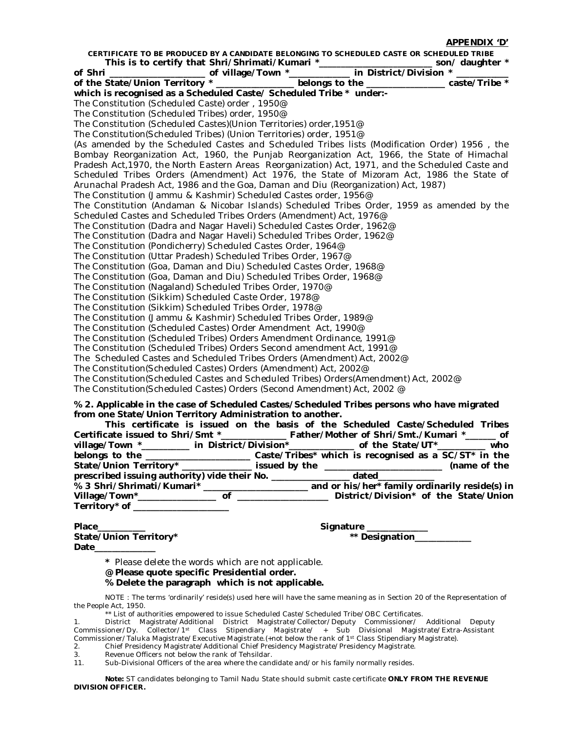**APPENDIX 'D'**

**CERTIFICATE TO BE PRODUCED BY A CANDIDATE BELONGING TO SCHEDULED CASTE OR SCHEDULED TRIBE This is to certify that Shri/Shrimati/Kumari \*\_\_\_\_\_\_\_\_\_\_\_\_\_\_\_\_\_\_\_\_\_\_\_\_\_\_ son/ daughter \* of Shri \_\_\_\_\_\_\_\_\_\_\_\_\_\_\_\_\_\_\_\_\_\_ of village/Town \*\_\_\_\_\_\_\_\_\_\_\_\_\_\_ in District/Division \* \_\_\_\_\_\_\_\_\_\_\_\_ of the State/Union Territory \* \_\_\_\_\_\_\_\_\_\_\_\_\_\_\_\_\_\_ belongs to the \_\_\_\_\_\_\_\_\_\_\_\_\_\_\_\_\_\_ caste/Tribe \* which is recognised as a Scheduled Caste/ Scheduled Tribe \* under:-** The Constitution (Scheduled Caste) order , 1950@ The Constitution (Scheduled Tribes) order, 1950@ The Constitution (Scheduled Castes)(Union Territories) order,1951@ The Constitution(Scheduled Tribes) (Union Territories) order, 1951@ (As amended by the Scheduled Castes and Scheduled Tribes lists (Modification Order) 1956 , the Bombay Reorganization Act, 1960, the Punjab Reorganization Act, 1966, the State of Himachal Pradesh Act, 1970, the North Eastern Areas Reorganization) Act, 1971, and the Scheduled Caste and Scheduled Tribes Orders (Amendment) Act 1976, the State of Mizoram Act, 1986 the State of Arunachal Pradesh Act, 1986 and the Goa, Daman and Diu (Reorganization) Act, 1987) The Constitution (Jammu & Kashmir) Scheduled Castes order, 1956@ The Constitution (Andaman & Nicobar Islands) Scheduled Tribes Order, 1959 as amended by the Scheduled Castes and Scheduled Tribes Orders (Amendment) Act, 1976@ The Constitution (Dadra and Nagar Haveli) Scheduled Castes Order, 1962@ The Constitution (Dadra and Nagar Haveli) Scheduled Tribes Order, 1962@ The Constitution (Pondicherry) Scheduled Castes Order, 1964@ The Constitution (Uttar Pradesh) Scheduled Tribes Order, 1967@ The Constitution (Goa, Daman and Diu) Scheduled Castes Order, 1968@ The Constitution (Goa, Daman and Diu) Scheduled Tribes Order, 1968@ The Constitution (Nagaland) Scheduled Tribes Order, 1970@ The Constitution (Sikkim) Scheduled Caste Order, 1978@ The Constitution (Sikkim) Scheduled Tribes Order, 1978@ The Constitution (Jammu & Kashmir) Scheduled Tribes Order, 1989@ The Constitution (Scheduled Castes) Order Amendment Act, 1990@ The Constitution (Scheduled Tribes) Orders Amendment Ordinance, 1991@ The Constitution (Scheduled Tribes) Orders Second amendment Act, 1991@ The Scheduled Castes and Scheduled Tribes Orders (Amendment) Act, 2002@ The Constitution(Scheduled Castes) Orders (Amendment) Act, 2002@ The Constitution(Scheduled Castes and Scheduled Tribes) Orders(Amendment) Act, 2002@ The Constitution(Scheduled Castes) Orders (Second Amendment) Act, 2002 @ **% 2. Applicable in the case of Scheduled Castes/Scheduled Tribes persons who have migrated from one State/Union Territory Administration to another. This certificate is issued on the basis of the Scheduled Caste/Scheduled Tribes Certificate issued to Shri/Smt \*\_\_\_\_\_\_\_\_\_\_\_\_\_\_\_ Father/Mother of Shri/Smt./Kumari \*\_\_\_\_\_\_\_ of village/Town \*\_\_\_\_\_\_\_\_\_\_\_ in District/Division\*\_\_\_\_\_\_\_\_\_\_\_\_\_\_\_ of the State/UT\*\_\_\_\_\_\_\_\_\_\_\_ who belongs to the \_\_\_\_\_\_\_\_\_\_\_\_\_\_\_\_\_\_\_\_\_\_\_\_ Caste/Tribes\* which is recognised as a SC/ST\* in the** 

**State/Union Territory\* \_\_\_\_\_\_\_\_\_\_\_\_\_\_\_\_ issued by the \_\_\_\_\_\_\_\_\_\_\_\_\_\_\_\_\_\_\_\_\_\_\_\_\_\_\_ (name of the prescribed issuing authority) vide their No. \_\_\_\_\_\_\_\_\_\_\_\_\_\_\_\_\_\_ dated\_\_\_\_\_\_\_\_\_\_\_\_\_ % 3 Shri/Shrimati/Kumari\* \_\_\_\_\_\_\_\_\_\_\_\_\_\_\_\_\_\_\_\_\_\_\_\_ and or his/her\* family ordinarily reside(s) in Village/Town\*\_\_\_\_\_\_\_\_\_\_\_\_\_\_\_\_\_\_ of \_\_\_\_\_\_\_\_\_\_\_\_\_\_\_\_\_\_\_\_\_ District/Division\* of the State/Union Territory\* of \_\_\_\_\_\_\_\_\_\_\_\_\_\_\_\_\_\_\_\_\_\_**

**Place** Signature  $\overline{\phantom{a}}$ State/Union Territory\* **According to the Contract of According to the State of According to the State of According to the State of According to the State of According to the State of According to the State of According to Date\_\_\_\_\_\_\_\_\_\_\_\_\_\_**

**\*** Please delete the words which are not applicable.

**@ Please quote specific Presidential order.**

**% Delete the paragraph which is not applicable.** 

NOTE : The terms 'ordinarily' reside(s) used here will have the same meaning as in Section 20 of the Representation of the People Act, 1950.

\*\* List of authorities empowered to issue Scheduled Caste/Scheduled Tribe/OBC Certificates.

- 2. Chief Presidency Magistrate/Additional Chief Presidency Magistrate/Presidency Magistrate.<br>3 Revenue Officers not below the rank of Tehsildar
- Revenue Officers not below the rank of Tehsildar.

11. Sub-Divisional Officers of the area where the candidate and/or his family normally resides.

**Note:** ST candidates belonging to Tamil Nadu State should submit caste certificate **ONLY FROM THE REVENUE DIVISION OFFICER.**

<sup>1.</sup> District Magistrate/Additional District Magistrate/Collector/Deputy Commissioner/ Additional Deputy Commissioner/Dy. Collector/1st Class Stipendiary Magistrate/ + Sub Divisional Magistrate/Extra-Assistant Commissioner/Taluka Magistrate/Executive Magistrate.(+not below the rank of 1st Class Stipendiary Magistrate).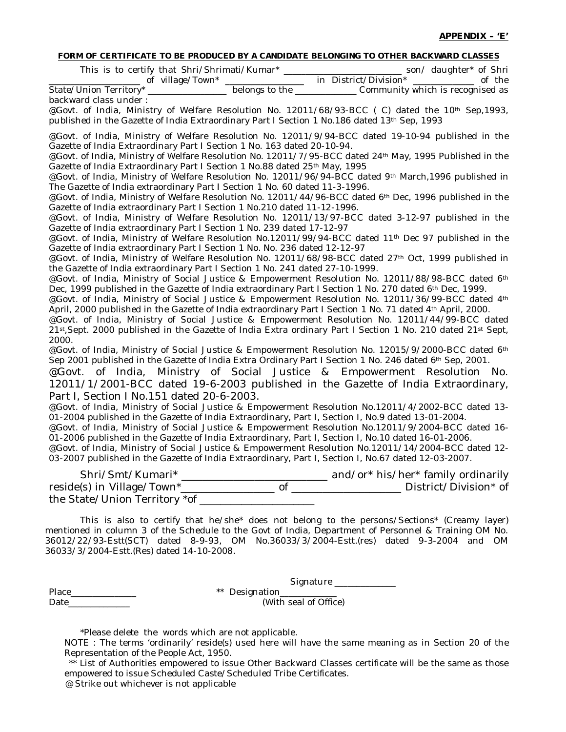#### **FORM OF CERTIFICATE TO BE PRODUCED BY A CANDIDATE BELONGING TO OTHER BACKWARD CLASSES**

| This is to certify that Shri/Shrimati/Kumar* |                | son/ daughter* of Shri           |        |
|----------------------------------------------|----------------|----------------------------------|--------|
| of village/Town*                             |                | in District/Division*            | of the |
| State/Union Territory*                       | belongs to the | Community which is recognised as |        |
| backward class under:                        |                |                                  |        |

@Govt. of India, Ministry of Welfare Resolution No. 12011/68/93-BCC (C) dated the 10<sup>th</sup> Sep, 1993, published in the Gazette of India Extraordinary Part I Section 1 No.186 dated 13<sup>th</sup> Sep, 1993

@Govt. of India, Ministry of Welfare Resolution No. 12011/9/94-BCC dated 19-10-94 published in the Gazette of India Extraordinary Part I Section 1 No. 163 dated 20-10-94.

@Govt. of India, Ministry of Welfare Resolution No. 12011/7/95-BCC dated 24th May, 1995 Published in the Gazette of India Extraordinary Part I Section 1 No.88 dated 25<sup>th</sup> May, 1995

@Govt. of India, Ministry of Welfare Resolution No. 12011/96/94-BCC dated 9th March,1996 published in The Gazette of India extraordinary Part I Section 1 No. 60 dated 11-3-1996.

@Govt. of India, Ministry of Welfare Resolution No. 12011/44/96-BCC dated 6<sup>th</sup> Dec, 1996 published in the Gazette of India extraordinary Part I Section 1 No.210 dated 11-12-1996.

@Govt. of India, Ministry of Welfare Resolution No. 12011/13/97-BCC dated 3-12-97 published in the Gazette of India extraordinary Part I Section 1 No. 239 dated 17-12-97

@Govt. of India, Ministry of Welfare Resolution No.12011/99/94-BCC dated 11<sup>th</sup> Dec 97 published in the Gazette of India extraordinary Part I Section 1 No. No. 236 dated 12-12-97

@Govt. of India, Ministry of Welfare Resolution No. 12011/68/98-BCC dated 27<sup>th</sup> Oct, 1999 published in the Gazette of India extraordinary Part I Section 1 No. 241 dated 27-10-1999.

@Govt. of India, Ministry of Social Justice & Empowerment Resolution No. 12011/88/98-BCC dated 6th Dec, 1999 published in the Gazette of India extraordinary Part I Section 1 No. 270 dated 6th Dec, 1999.

@Govt. of India, Ministry of Social Justice & Empowerment Resolution No. 12011/36/99-BCC dated 4th April, 2000 published in the Gazette of India extraordinary Part I Section 1 No. 71 dated 4<sup>th</sup> April, 2000.

@Govt. of India, Ministry of Social Justice & Empowerment Resolution No. 12011/44/99-BCC dated 21st,Sept. 2000 published in the Gazette of India Extra ordinary Part I Section 1 No. 210 dated 21st Sept, 2000.

@Govt. of India, Ministry of Social Justice & Empowerment Resolution No. 12015/9/2000-BCC dated 6th Sep 2001 published in the Gazette of India Extra Ordinary Part I Section 1 No. 246 dated 6th Sep, 2001.

@Govt. of India, Ministry of Social Justice & Empowerment Resolution No. 12011/1/2001-BCC dated 19-6-2003 published in the Gazette of India Extraordinary, Part I, Section I No.151 dated 20-6-2003.

@Govt. of India, Ministry of Social Justice & Empowerment Resolution No.12011/4/2002-BCC dated 13- 01-2004 published in the Gazette of India Extraordinary, Part I, Section I, No.9 dated 13-01-2004.

@Govt. of India, Ministry of Social Justice & Empowerment Resolution No.12011/9/2004-BCC dated 16- 01-2006 published in the Gazette of India Extraordinary, Part I, Section I, No.10 dated 16-01-2006.

@Govt. of India, Ministry of Social Justice & Empowerment Resolution No.12011/14/2004-BCC dated 12- 03-2007 published in the Gazette of India Extraordinary, Part I, Section I, No.67 dated 12-03-2007.

Shri/Smt/Kumari\* \_\_\_\_\_\_\_\_\_\_\_\_\_\_\_\_\_\_\_\_\_\_\_\_\_\_\_\_ and/or\* his/her\* family ordinarily reside(s) in Village/Town\*\_\_\_\_\_\_\_\_\_\_\_\_\_\_\_\_\_\_ of \_\_\_\_\_\_\_\_\_\_\_\_\_\_\_\_\_\_\_\_\_ District/Division\* of the State/Union Territory \*of \_\_\_\_\_\_\_\_\_\_\_\_\_\_\_\_\_\_\_\_\_\_

This is also to certify that he/she\* does not belong to the persons/Sections\* (Creamy layer) mentioned in column 3 of the Schedule to the Govt of India, Department of Personnel & Training OM No. 36012/22/93-Estt(SCT) dated 8-9-93, OM No.36033/3/2004-Estt.(res) dated 9-3-2004 and OM 36033/3/2004-Estt.(Res) dated 14-10-2008.

|       | Signature             |
|-------|-----------------------|
| Place | ** Designation_____   |
| Date  | (With seal of Office) |

\*Please delete the words which are not applicable.

NOTE : The terms 'ordinarily' reside(s) used here will have the same meaning as in Section 20 of the Representation of the People Act, 1950.

\*\* List of Authorities empowered to issue Other Backward Classes certificate will be the same as those empowered to issue Scheduled Caste/Scheduled Tribe Certificates. @ Strike out whichever is not applicable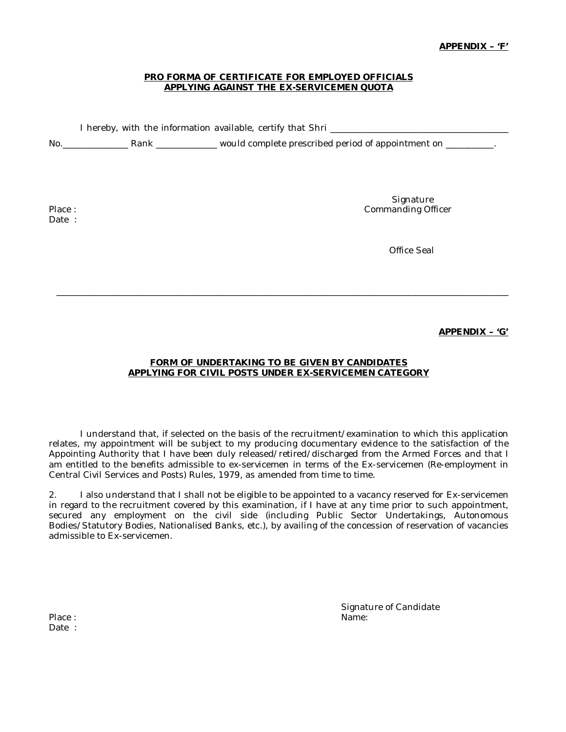### **PRO FORMA OF CERTIFICATE FOR EMPLOYED OFFICIALS APPLYING AGAINST THE EX-SERVICEMEN QUOTA**

I hereby, with the information available, certify that Shri \_\_\_\_\_\_\_\_\_\_\_\_\_\_\_\_\_\_\_\_

No.\_\_\_\_\_\_\_\_\_\_\_\_\_\_\_ Rank \_\_\_\_\_\_\_\_\_\_\_\_\_\_ would complete prescribed period of appointment on \_\_\_\_\_\_\_\_\_\_\_.

Date :

**Signature** Place : Commanding Officer in the Commanding Officer in the Commanding Officer in the Commanding Officer

Office Seal

**APPENDIX – 'G'**

# **FORM OF UNDERTAKING TO BE GIVEN BY CANDIDATES APPLYING FOR CIVIL POSTS UNDER EX-SERVICEMEN CATEGORY**

\_\_\_\_\_\_\_\_\_\_\_\_\_\_\_\_\_\_\_\_\_\_\_\_\_\_\_\_\_\_\_\_\_\_\_\_\_\_\_\_\_\_\_\_\_\_\_\_\_\_\_\_\_\_\_\_\_\_\_\_\_\_\_\_\_\_\_\_\_\_\_\_\_\_\_\_\_\_\_\_\_\_\_\_\_\_\_\_\_\_\_\_\_\_\_\_\_\_\_\_\_\_\_\_

I understand that, if selected on the basis of the recruitment/examination to which this application relates, my appointment will be subject to my producing documentary evidence to the satisfaction of the Appointing Authority that I have been duly released/retired/discharged from the Armed Forces and that I am entitled to the benefits admissible to ex-servicemen in terms of the Ex-servicemen (Re-employment in Central Civil Services and Posts) Rules, 1979, as amended from time to time.

2. I also understand that I shall not be eligible to be appointed to a vacancy reserved for Ex-servicemen in regard to the recruitment covered by this examination, if I have at any time prior to such appointment, secured any employment on the civil side (including Public Sector Undertakings, Autonomous Bodies/Statutory Bodies, Nationalised Banks, etc.), by availing of the concession of reservation of vacancies admissible to Ex-servicemen.

Signature of Candidate

Place : Name: Name: Name: Name: Name: Name: Name: Name: Name: Name: Name: Name: Name: Name: Name: Name: Name: Name: Name: Name: Name: Name:  $N$ Date :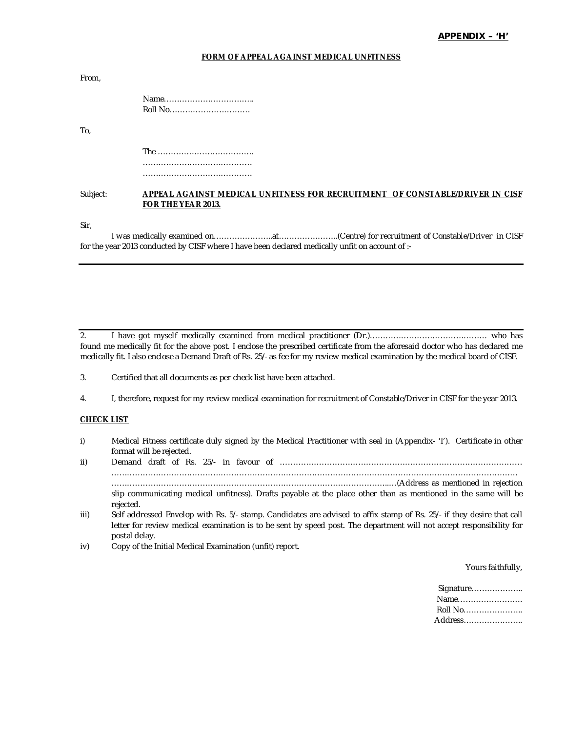#### **FORM OF APPEAL AGAINST MEDICAL UNFITNESS**

| From.    |                              |
|----------|------------------------------|
|          | Roll No                      |
| To.      |                              |
|          |                              |
|          |                              |
|          |                              |
| Subject: | ADDEAL ACAINST MEDICAL LINEL |

### Subject: **APPEAL AGAINST MEDICAL UNFITNESS FOR RECRUITMENT OF CONSTABLE/DRIVER IN CISF FOR THE YEAR 2013.**

Sir,

I was medically examined on…………………..at…………………..(Centre) for recruitment of Constable/Driver in CISF for the year 2013 conducted by CISF where I have been declared medically unfit on account of :-

2. I have got myself medically examined from medical practitioner (Dr.)……………………………………… who has found me medically fit for the above post. I enclose the prescribed certificate from the aforesaid doctor who has declared me medically fit. I also enclose a Demand Draft of Rs. 25/- as fee for my review medical examination by the medical board of CISF.

#### **CHECK LIST**

i) Medical Fitness certificate duly signed by the Medical Practitioner with seal in (Appendix- 'I'). Certificate in other format will be rejected.

ii) Demand draft of Rs. 25/- in favour of ………………………………………………………………………………… ………………………………………………………………………………………………………………………………………… ……………………………………………………………………………………………..…(Address as mentioned in rejection slip communicating medical unfitness). Drafts payable at the place other than as mentioned in the same will be rejected.

- iii) Self addressed Envelop with Rs. 5/- stamp. Candidates are advised to affix stamp of Rs. 25/- if they desire that call letter for review medical examination is to be sent by speed post. The department will not accept responsibility for postal delay.
- iv) Copy of the Initial Medical Examination (unfit) report.

Yours faithfully,

| Signature |  |
|-----------|--|
| Name      |  |
| Roll No   |  |
| Address   |  |

<sup>3.</sup> Certified that all documents as per check list have been attached.

<sup>4.</sup> I, therefore, request for my review medical examination for recruitment of Constable/Driver in CISF for the year 2013.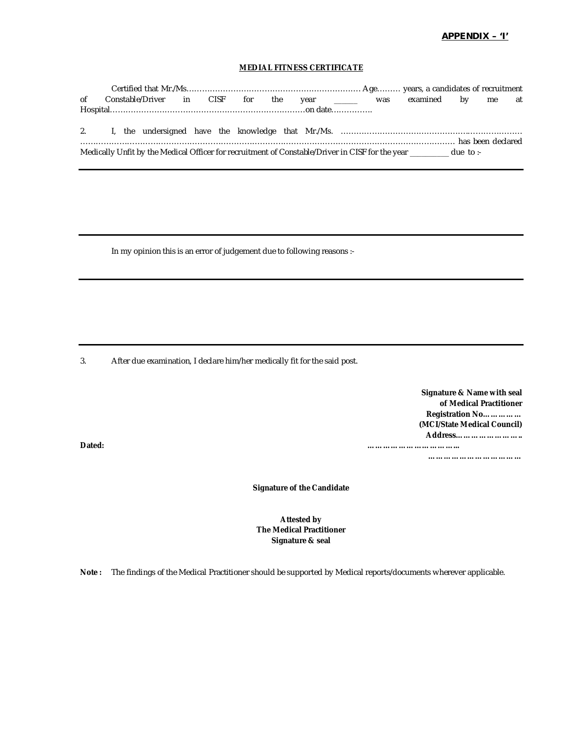### **APPENDIX – 'I'**

## **MEDIAL FITNESS CERTIFICATE**

| of |  |  |  |  |  | Constable/Driver in CISF for the year ______ was examined by me at                                        |  |  |
|----|--|--|--|--|--|-----------------------------------------------------------------------------------------------------------|--|--|
|    |  |  |  |  |  |                                                                                                           |  |  |
|    |  |  |  |  |  |                                                                                                           |  |  |
|    |  |  |  |  |  |                                                                                                           |  |  |
|    |  |  |  |  |  |                                                                                                           |  |  |
|    |  |  |  |  |  | Medically Unfit by the Medical Officer for recruitment of Constable/Driver in CISF for the year due to :- |  |  |

In my opinion this is an error of judgement due to following reasons :-

3. After due examination, I declare him/her medically fit for the said post.

| Signature & Name with seal  |
|-----------------------------|
| of Medical Practitioner     |
| Registration No             |
| (MCI/State Medical Council) |
| Address                     |
|                             |

**………………………………**

**Signature of the Candidate**

## **Attested by The Medical Practitioner Signature & seal**

**Note :** The findings of the Medical Practitioner should be supported by Medical reports/documents wherever applicable.

**Dated: ……………………………...**